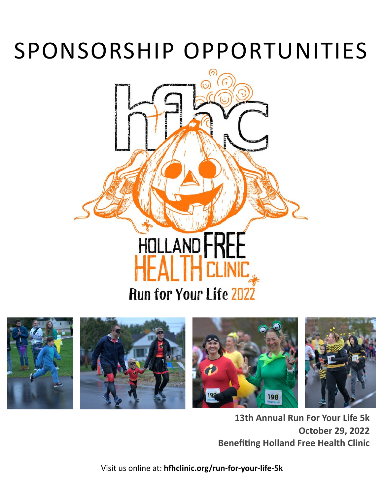# SPONSORSHIP OPPORTUNITIES





**13th Annual Run For Your Life 5k October 29, 2022 Benefiting Holland Free Health Clinic**

Visit us online at: **[hfhclinic.org/run](http://www.hfhclinic.org/run-for-your-life-5k)-for-your-life-5k**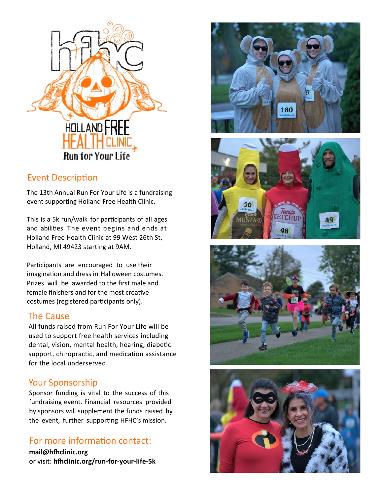

## Event Description

The 13th Annual Run For Your Life is a fundraising event supporting Holland Free Health Clinic.

This is a 5k run/walk for participants of all ages and abilities. The event begins and ends at Holland Free Health Clinic at 99 West 26th St, Holland, MI 49423 starting at 9AM.

Participants are encouraged to use their imagination and dress in Halloween costumes. Prizes will be awarded to the first male and female finishers and for the most creative costumes (registered participants only).

## The Cause

All funds raised from Run For Your Life will be used to support free health services including dental, vision, mental health, hearing, diabetic support, chiropractic, and medication assistance for the local underserved.

# Your Sponsorship

Sponsor funding is vital to the success of this fundraising event. Financial resources provided by sponsors will supplement the funds raised by the event, further supporting HFHC's mission.

# For more information contact:

**mail@hfhclinic.org**  or visit: **hfhclinic.org/run-for-your-life-5k** 







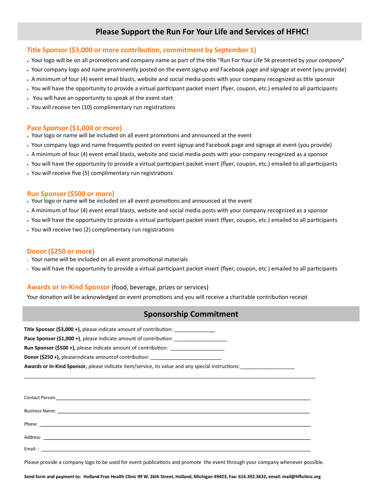## **Please Support the Run For Your Life and Services of HFHC!**

#### **Title Sponsor (\$3,000 or more contribution, commitment by September 1)**

- Your logo will be on all promotions and company name as part of the title "Run For Your Life 5k presented by *your company*"
- Your company logo and name prominently posted on the event signup and Facebook page and signage at event (you provide)
- A minimum of four (4) event email blasts, website and social media posts with your company recognized as title sponsor
- You will have the opportunity to provide a virtual participant packet insert (flyer, coupon, etc.) emailed to all participants
- You will have an opportunity to speak at the event start
- You will receive ten (10) complimentary run registrations

#### **Pace Sponsor (\$1,000 or more)**

- Your logo or name will be included on all event promotions and announced at the event
- Your company logo and name frequently posted on event signup and Facebook page and signage at event (you provide)
- A minimum of four (4) event email blasts, website and social media posts with your company recognized as a sponsor
- You will have the opportunity to provide a virtual participant packet insert (flyer, coupon, etc.) emailed to all participants
- You will receive five (5) complimentary run registrations

#### **Run Sponsor (\$500 or more)**

- Your logo or name will be included on all event promotions and announced at the event
- A minimum of four (4) event email blasts, website and social media posts with your company recognized as a sponsor
- You will have the opportunity to provide a virtual participant packet insert (flyer, coupon, etc.) emailed to all participants
- You will receive two (2) complimentary run registrations

#### **Donor (\$250 or more)**

- Your name will be included on all event promotional materials
- You will have the opportunity to provide a virtual participant packet insert (flyer, coupon, etc.) emailed to all participants

#### **Awards or In-Kind Sponsor** (food, beverage, prizes or services)

Your donation will be acknowledged on event promotions and you will receive a charitable contribution receipt

### **Sponsorship Commitment**

**Title Sponsor (\$3,000 +),** please indicate amount of contribution:

**Pace Sponsor (\$1,000 +),** please indicate amount of contribution:

**Run Sponsor (\$500 +),** please indicate amount of contribution: \_

**Donor (\$250 +),** pleaseindicate amount of contribution:

**Awards or In-Kind Sponsor,** please indicate item/service, its value and any special instructions: \_\_\_\_\_\_\_\_\_\_\_\_\_\_\_\_\_\_

| Phone: <u>Andrea Communication of the Communication</u> |                                               |  |  |
|---------------------------------------------------------|-----------------------------------------------|--|--|
|                                                         |                                               |  |  |
| Email: :                                                | <u> 2008 - Andrea Andrew Maria (h. 1888).</u> |  |  |

\_\_\_\_\_\_\_\_\_\_\_\_\_\_\_\_\_\_\_\_\_\_\_\_\_\_\_\_\_\_\_\_\_\_\_\_\_\_\_\_\_\_\_\_\_\_\_\_\_\_\_\_\_\_\_\_\_\_\_\_\_\_\_\_\_\_\_\_\_\_\_\_\_\_\_\_\_\_\_\_\_\_\_\_\_\_\_\_\_\_\_\_\_\_\_\_\_\_\_\_\_\_\_\_

Please provide a company logo to be used for event publications and promote the event through your company whenever possible.

Send form and payment to: Holland Free Health Clinic 99 W. 26th Street, Holland, Michigan 49423, Fax: 616.392.3632, email: mail@hfhclinic.org